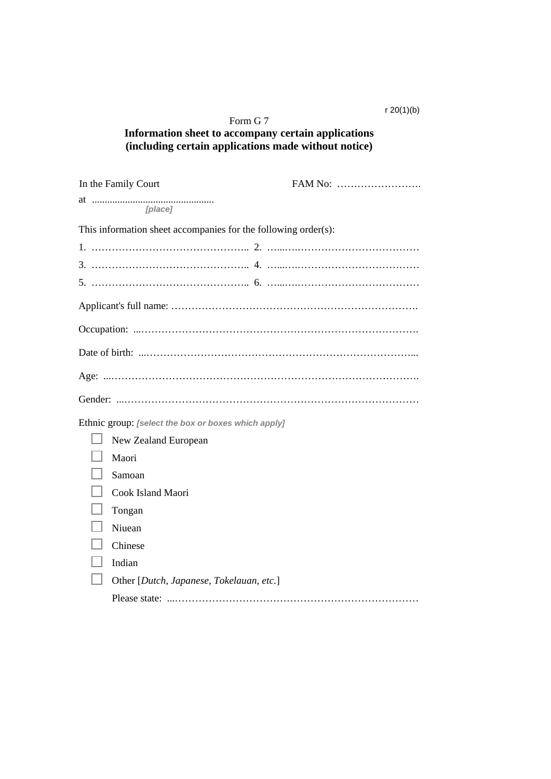## r 20(1)(b)

## Form G 7 **Information sheet to accompany certain applications (including certain applications made without notice)**

| In the Family Court                                 |                                                                |
|-----------------------------------------------------|----------------------------------------------------------------|
| [place]                                             |                                                                |
|                                                     | This information sheet accompanies for the following order(s): |
|                                                     |                                                                |
|                                                     |                                                                |
|                                                     |                                                                |
|                                                     |                                                                |
|                                                     |                                                                |
|                                                     |                                                                |
|                                                     |                                                                |
|                                                     |                                                                |
| Ethnic group: [select the box or boxes which apply] |                                                                |
| New Zealand European                                |                                                                |
| Maori                                               |                                                                |
| Samoan                                              |                                                                |
| Cook Island Maori                                   |                                                                |
| Tongan                                              |                                                                |
| Niuean                                              |                                                                |
| Chinese                                             |                                                                |
| Indian                                              |                                                                |
| Other [Dutch, Japanese, Tokelauan, etc.]            |                                                                |
|                                                     |                                                                |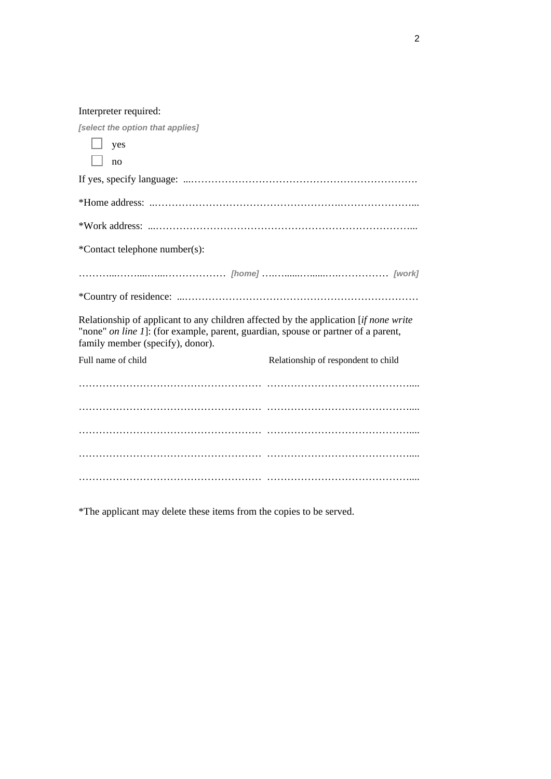Interpreter required:

*[select the option that applies]* 

| yes                                                                                                                                                                                                                 |                                     |  |  |  |
|---------------------------------------------------------------------------------------------------------------------------------------------------------------------------------------------------------------------|-------------------------------------|--|--|--|
| no                                                                                                                                                                                                                  |                                     |  |  |  |
|                                                                                                                                                                                                                     |                                     |  |  |  |
|                                                                                                                                                                                                                     |                                     |  |  |  |
|                                                                                                                                                                                                                     |                                     |  |  |  |
| *Contact telephone number(s):                                                                                                                                                                                       |                                     |  |  |  |
|                                                                                                                                                                                                                     |                                     |  |  |  |
|                                                                                                                                                                                                                     |                                     |  |  |  |
| Relationship of applicant to any children affected by the application <i>if none write</i><br>"none" on line 1]: (for example, parent, guardian, spouse or partner of a parent,<br>family member (specify), donor). |                                     |  |  |  |
| Full name of child                                                                                                                                                                                                  | Relationship of respondent to child |  |  |  |
|                                                                                                                                                                                                                     |                                     |  |  |  |
|                                                                                                                                                                                                                     |                                     |  |  |  |
|                                                                                                                                                                                                                     |                                     |  |  |  |
|                                                                                                                                                                                                                     |                                     |  |  |  |
|                                                                                                                                                                                                                     |                                     |  |  |  |

\*The applicant may delete these items from the copies to be served.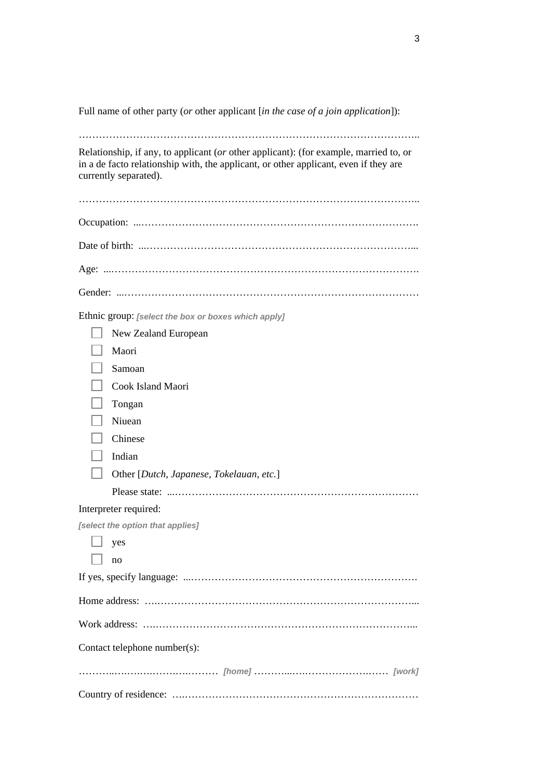Full name of other party (*or* other applicant [*in the case of a join application*]):

………………………………………………………………………………………..

Relationship, if any, to applicant (*or* other applicant): (for example, married to, or in a de facto relationship with, the applicant, or other applicant, even if they are currently separated).

Ethnic group: *[select the box or boxes which apply]*

|                              | New Zealand European                     |  |  |
|------------------------------|------------------------------------------|--|--|
|                              | Maori                                    |  |  |
|                              | Samoan                                   |  |  |
|                              | Cook Island Maori                        |  |  |
|                              | Tongan                                   |  |  |
|                              | Niuean                                   |  |  |
|                              | Chinese                                  |  |  |
|                              | Indian                                   |  |  |
|                              | Other [Dutch, Japanese, Tokelauan, etc.] |  |  |
|                              |                                          |  |  |
|                              | Interpreter required:                    |  |  |
|                              | [select the option that applies]         |  |  |
|                              | yes                                      |  |  |
|                              | no                                       |  |  |
|                              |                                          |  |  |
|                              |                                          |  |  |
|                              |                                          |  |  |
| Contact telephone number(s): |                                          |  |  |
|                              |                                          |  |  |
|                              |                                          |  |  |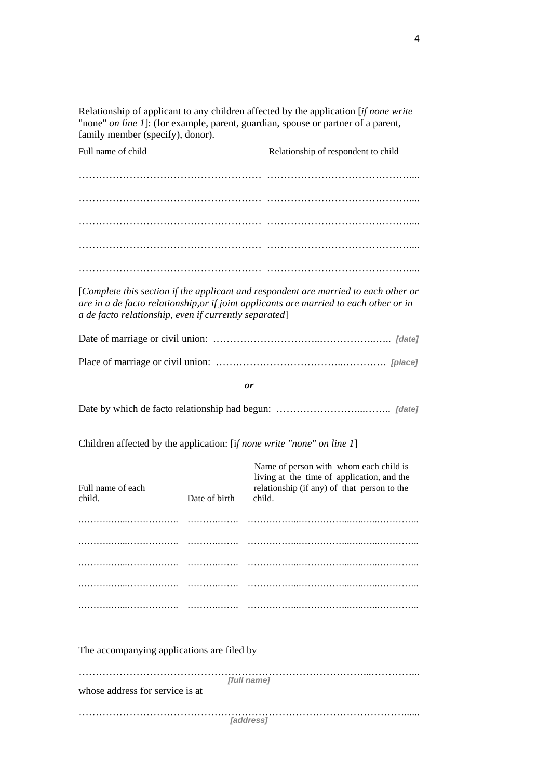Relationship of applicant to any children affected by the application [*if none write*  "none" *on line 1*]: (for example, parent, guardian, spouse or partner of a parent, family member (specify), donor).

Full name of child Relationship of respondent to child ……………………………………………… …………………………………….... ……………………………………………… …………………………………….... ……………………………………………… …………………………………….... ……………………………………………… …………………………………….... ……………………………………………… ……………………………………....

[*Complete this section if the applicant and respondent are married to each other or are in a de facto relationship,or if joint applicants are married to each other or in a de facto relationship, even if currently separated*]

*or* 

Date by which de facto relationship had begun: ……………………...…….. *[date]* 

Children affected by the application: [i*f none write "none" on line 1*]

| Full name of each<br>child.                | Date of birth | Name of person with whom each child is<br>living at the time of application, and the<br>relationship (if any) of that person to the<br>child. |  |  |  |
|--------------------------------------------|---------------|-----------------------------------------------------------------------------------------------------------------------------------------------|--|--|--|
|                                            |               |                                                                                                                                               |  |  |  |
|                                            |               |                                                                                                                                               |  |  |  |
|                                            |               |                                                                                                                                               |  |  |  |
|                                            |               |                                                                                                                                               |  |  |  |
|                                            |               |                                                                                                                                               |  |  |  |
|                                            |               |                                                                                                                                               |  |  |  |
|                                            |               |                                                                                                                                               |  |  |  |
|                                            |               |                                                                                                                                               |  |  |  |
| The accompanying applications are filed by |               |                                                                                                                                               |  |  |  |
|                                            |               |                                                                                                                                               |  |  |  |
|                                            |               | [full name]                                                                                                                                   |  |  |  |
| whose address for service is at            |               |                                                                                                                                               |  |  |  |
|                                            |               |                                                                                                                                               |  |  |  |
|                                            |               | <i><b>Taddress1</b></i>                                                                                                                       |  |  |  |